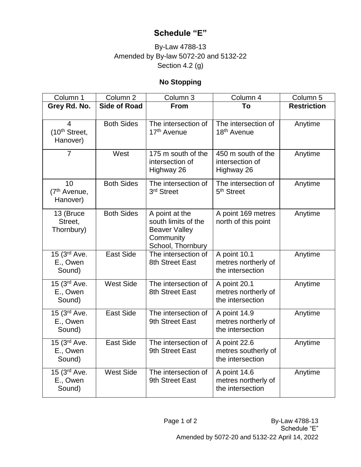## **Schedule "E"**

## By-Law 4788-13 Amended by By-law 5072-20 and 5132-22 Section 4.2 (g)

## **No Stopping**

| Column 1                                       | Column <sub>2</sub> | Column 3                                                                                        | Column 4                                                | Column 5           |
|------------------------------------------------|---------------------|-------------------------------------------------------------------------------------------------|---------------------------------------------------------|--------------------|
| Grey Rd. No.                                   | <b>Side of Road</b> | <b>From</b>                                                                                     | To                                                      | <b>Restriction</b> |
| 4<br>(10 <sup>th</sup> Street,<br>Hanover)     | <b>Both Sides</b>   | The intersection of<br>17 <sup>th</sup> Avenue                                                  | The intersection of<br>18 <sup>th</sup> Avenue          | Anytime            |
| $\overline{7}$                                 | West                | 175 m south of the<br>intersection of<br>Highway 26                                             | 450 m south of the<br>intersection of<br>Highway 26     | Anytime            |
| 10<br>(7 <sup>th</sup> Avenue,<br>Hanover)     | <b>Both Sides</b>   | The intersection of<br>3 <sup>rd</sup> Street                                                   | The intersection of<br>5 <sup>th</sup> Street           | Anytime            |
| 13 (Bruce<br>Street,<br>Thornbury)             | <b>Both Sides</b>   | A point at the<br>south limits of the<br><b>Beaver Valley</b><br>Community<br>School, Thornbury | A point 169 metres<br>north of this point               | Anytime            |
| 15 (3rd Ave.<br>E., Owen<br>Sound)             | <b>East Side</b>    | The intersection of<br>8th Street East                                                          | A point 10.1<br>metres northerly of<br>the intersection | Anytime            |
| 15 (3 <sup>rd</sup> Ave.<br>E., Owen<br>Sound) | <b>West Side</b>    | The intersection of<br>8th Street East                                                          | A point 20.1<br>metres northerly of<br>the intersection | Anytime            |
| 15 (3 <sup>rd</sup> Ave.<br>E., Owen<br>Sound) | <b>East Side</b>    | The intersection of<br>9th Street East                                                          | A point 14.9<br>metres northerly of<br>the intersection | Anytime            |
| 15 (3 <sup>rd</sup> Ave.<br>E., Owen<br>Sound) | <b>East Side</b>    | The intersection of<br>9th Street East                                                          | A point 22.6<br>metres southerly of<br>the intersection | Anytime            |
| 15 (3 <sup>rd</sup> Ave.<br>E., Owen<br>Sound) | <b>West Side</b>    | The intersection of<br>9th Street East                                                          | A point 14.6<br>metres northerly of<br>the intersection | Anytime            |